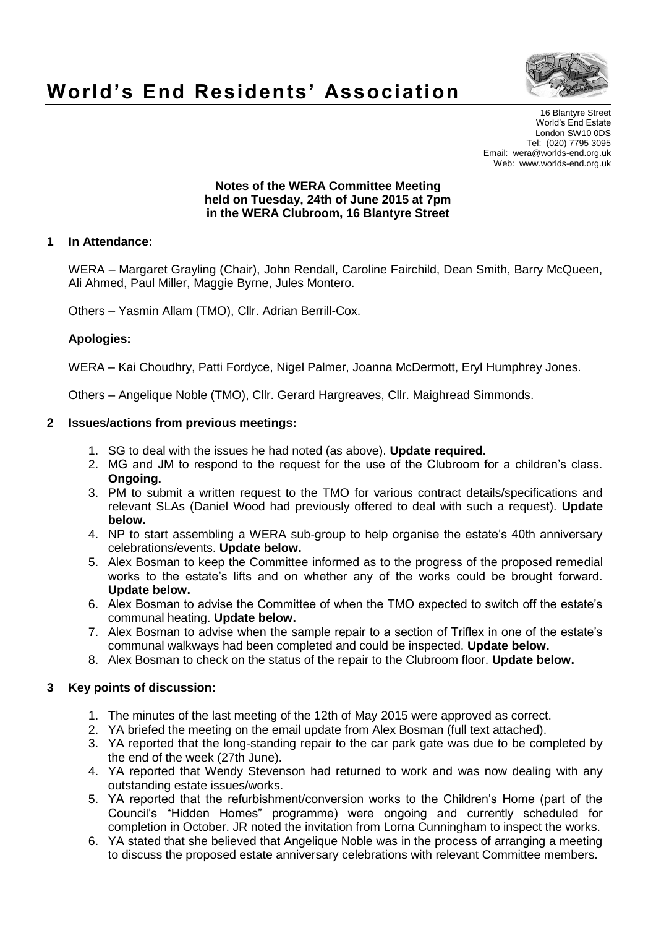

# **World's End Residents' Association**

16 Blantyre Street World's End Estate London SW10 0DS Tel: (020) 7795 3095 Email: wera@worlds-end.org.uk Web: www.worlds-end.org.uk

#### **Notes of the WERA Committee Meeting held on Tuesday, 24th of June 2015 at 7pm in the WERA Clubroom, 16 Blantyre Street**

### **1 In Attendance:**

WERA – Margaret Grayling (Chair), John Rendall, Caroline Fairchild, Dean Smith, Barry McQueen, Ali Ahmed, Paul Miller, Maggie Byrne, Jules Montero.

Others – Yasmin Allam (TMO), Cllr. Adrian Berrill-Cox.

#### **Apologies:**

WERA – Kai Choudhry, Patti Fordyce, Nigel Palmer, Joanna McDermott, Eryl Humphrey Jones.

Others – Angelique Noble (TMO), Cllr. Gerard Hargreaves, Cllr. Maighread Simmonds.

#### **2 Issues/actions from previous meetings:**

- 1. SG to deal with the issues he had noted (as above). **Update required.**
- 2. MG and JM to respond to the request for the use of the Clubroom for a children's class. **Ongoing.**
- 3. PM to submit a written request to the TMO for various contract details/specifications and relevant SLAs (Daniel Wood had previously offered to deal with such a request). **Update below.**
- 4. NP to start assembling a WERA sub-group to help organise the estate's 40th anniversary celebrations/events. **Update below.**
- 5. Alex Bosman to keep the Committee informed as to the progress of the proposed remedial works to the estate's lifts and on whether any of the works could be brought forward. **Update below.**
- 6. Alex Bosman to advise the Committee of when the TMO expected to switch off the estate's communal heating. **Update below.**
- 7. Alex Bosman to advise when the sample repair to a section of Triflex in one of the estate's communal walkways had been completed and could be inspected. **Update below.**
- 8. Alex Bosman to check on the status of the repair to the Clubroom floor. **Update below.**

#### **3 Key points of discussion:**

- 1. The minutes of the last meeting of the 12th of May 2015 were approved as correct.
- 2. YA briefed the meeting on the email update from Alex Bosman (full text attached).
- 3. YA reported that the long-standing repair to the car park gate was due to be completed by the end of the week (27th June).
- 4. YA reported that Wendy Stevenson had returned to work and was now dealing with any outstanding estate issues/works.
- 5. YA reported that the refurbishment/conversion works to the Children's Home (part of the Council's "Hidden Homes" programme) were ongoing and currently scheduled for completion in October. JR noted the invitation from Lorna Cunningham to inspect the works.
- 6. YA stated that she believed that Angelique Noble was in the process of arranging a meeting to discuss the proposed estate anniversary celebrations with relevant Committee members.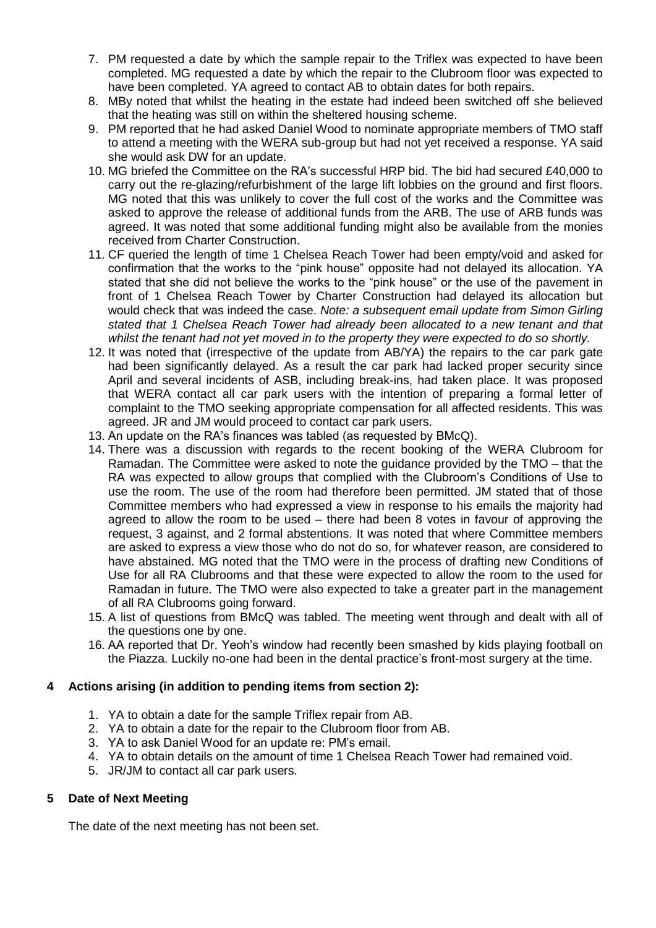- 7. PM requested a date by which the sample repair to the Triflex was expected to have been completed. MG requested a date by which the repair to the Clubroom floor was expected to have been completed. YA agreed to contact AB to obtain dates for both repairs.
- 8. MBy noted that whilst the heating in the estate had indeed been switched off she believed that the heating was still on within the sheltered housing scheme.
- 9. PM reported that he had asked Daniel Wood to nominate appropriate members of TMO staff to attend a meeting with the WERA sub-group but had not yet received a response. YA said she would ask DW for an update.
- 10. MG briefed the Committee on the RA's successful HRP bid. The bid had secured £40,000 to carry out the re-glazing/refurbishment of the large lift lobbies on the ground and first floors. MG noted that this was unlikely to cover the full cost of the works and the Committee was asked to approve the release of additional funds from the ARB. The use of ARB funds was agreed. It was noted that some additional funding might also be available from the monies received from Charter Construction.
- 11. CF queried the length of time 1 Chelsea Reach Tower had been empty/void and asked for confirmation that the works to the "pink house" opposite had not delayed its allocation. YA stated that she did not believe the works to the "pink house" or the use of the pavement in front of 1 Chelsea Reach Tower by Charter Construction had delayed its allocation but would check that was indeed the case. *Note: a subsequent email update from Simon Girling stated that 1 Chelsea Reach Tower had already been allocated to a new tenant and that whilst the tenant had not yet moved in to the property they were expected to do so shortly.*
- 12. It was noted that (irrespective of the update from AB/YA) the repairs to the car park gate had been significantly delayed. As a result the car park had lacked proper security since April and several incidents of ASB, including break-ins, had taken place. It was proposed that WERA contact all car park users with the intention of preparing a formal letter of complaint to the TMO seeking appropriate compensation for all affected residents. This was agreed. JR and JM would proceed to contact car park users.
- 13. An update on the RA's finances was tabled (as requested by BMcQ).
- 14. There was a discussion with regards to the recent booking of the WERA Clubroom for Ramadan. The Committee were asked to note the guidance provided by the TMO – that the RA was expected to allow groups that complied with the Clubroom's Conditions of Use to use the room. The use of the room had therefore been permitted. JM stated that of those Committee members who had expressed a view in response to his emails the majority had agreed to allow the room to be used – there had been 8 votes in favour of approving the request, 3 against, and 2 formal abstentions. It was noted that where Committee members are asked to express a view those who do not do so, for whatever reason, are considered to have abstained. MG noted that the TMO were in the process of drafting new Conditions of Use for all RA Clubrooms and that these were expected to allow the room to the used for Ramadan in future. The TMO were also expected to take a greater part in the management of all RA Clubrooms going forward.
- 15. A list of questions from BMcQ was tabled. The meeting went through and dealt with all of the questions one by one.
- 16. AA reported that Dr. Yeoh's window had recently been smashed by kids playing football on the Piazza. Luckily no-one had been in the dental practice's front-most surgery at the time.

#### **4 Actions arising (in addition to pending items from section 2):**

- 1. YA to obtain a date for the sample Triflex repair from AB.
- 2. YA to obtain a date for the repair to the Clubroom floor from AB.
- 3. YA to ask Daniel Wood for an update re: PM's email.
- 4. YA to obtain details on the amount of time 1 Chelsea Reach Tower had remained void.
- 5. JR/JM to contact all car park users.

#### **5 Date of Next Meeting**

The date of the next meeting has not been set.